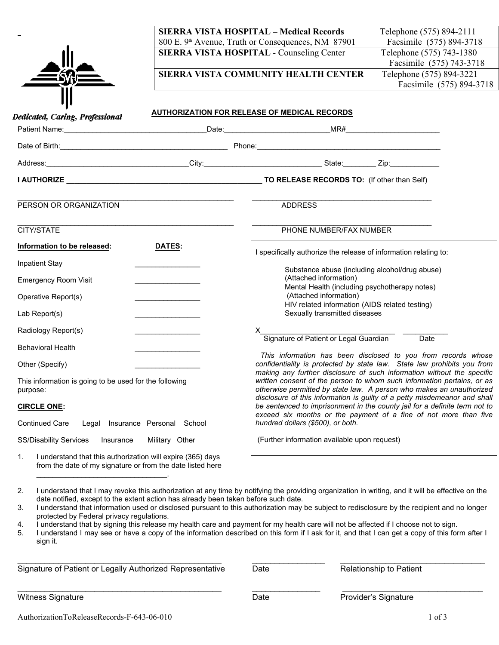| I<br>Ш<br>53 |
|--------------|
|              |

**SIERRA VISTA HOSPITAL – Medical Records** Telephone (575) 894-2111 800 E. 9<sup>th</sup> Avenue, Truth or Consequences, NM 87901 Facsimile (575) 894-3718

**SIERRA VISTA COMMUNITY HEALTH CENTER** Telephone (575) 894-3221

**SIERRA VISTA HOSPITAL - Counseling Center** Telephone (575) 743-1380 Facsimile (575) 743-3718 Facsimile (575) 894-3718

| Dedicated, Caring, Professional                                                                                                                                                                                                                                                                                                                                                      |                                                          | AUTHORIZATION FOR RELEASE OF MEDICAL RECORDS                                                                                                                                                                             |
|--------------------------------------------------------------------------------------------------------------------------------------------------------------------------------------------------------------------------------------------------------------------------------------------------------------------------------------------------------------------------------------|----------------------------------------------------------|--------------------------------------------------------------------------------------------------------------------------------------------------------------------------------------------------------------------------|
|                                                                                                                                                                                                                                                                                                                                                                                      |                                                          |                                                                                                                                                                                                                          |
|                                                                                                                                                                                                                                                                                                                                                                                      |                                                          |                                                                                                                                                                                                                          |
|                                                                                                                                                                                                                                                                                                                                                                                      |                                                          |                                                                                                                                                                                                                          |
|                                                                                                                                                                                                                                                                                                                                                                                      |                                                          |                                                                                                                                                                                                                          |
| PERSON OR ORGANIZATION                                                                                                                                                                                                                                                                                                                                                               |                                                          | <b>ADDRESS</b>                                                                                                                                                                                                           |
| CITY/STATE                                                                                                                                                                                                                                                                                                                                                                           |                                                          | PHONE NUMBER/FAX NUMBER                                                                                                                                                                                                  |
| Information to be released:                                                                                                                                                                                                                                                                                                                                                          | <b>DATES:</b>                                            | I specifically authorize the release of information relating to:                                                                                                                                                         |
| <b>Inpatient Stay</b>                                                                                                                                                                                                                                                                                                                                                                |                                                          | Substance abuse (including alcohol/drug abuse)                                                                                                                                                                           |
| <b>Emergency Room Visit</b>                                                                                                                                                                                                                                                                                                                                                          |                                                          | (Attached information)                                                                                                                                                                                                   |
| Operative Report(s)                                                                                                                                                                                                                                                                                                                                                                  |                                                          | Mental Health (including psychotherapy notes)<br>(Attached information)                                                                                                                                                  |
| Lab Report(s)                                                                                                                                                                                                                                                                                                                                                                        |                                                          | HIV related information (AIDS related testing)<br>Sexually transmitted diseases                                                                                                                                          |
| Radiology Report(s)                                                                                                                                                                                                                                                                                                                                                                  | <u> 1989 - Johann Barbara, martxa a shekara 1989 - A</u> | Signature of Patient or Legal Guardian Date                                                                                                                                                                              |
| <b>Behavioral Health</b>                                                                                                                                                                                                                                                                                                                                                             |                                                          |                                                                                                                                                                                                                          |
| Other (Specify)                                                                                                                                                                                                                                                                                                                                                                      |                                                          | This information has been disclosed to you from records whose<br>confidentiality is protected by state law. State law prohibits you from                                                                                 |
| This information is going to be used for the following<br>purpose:                                                                                                                                                                                                                                                                                                                   |                                                          | making any further disclosure of such information without the specific<br>written consent of the person to whom such information pertains, or as<br>otherwise permitted by state law. A person who makes an unauthorized |
| <b>CIRCLE ONE:</b>                                                                                                                                                                                                                                                                                                                                                                   |                                                          | disclosure of this information is guilty of a petty misdemeanor and shall<br>be sentenced to imprisonment in the county jail for a definite term not to                                                                  |
| <b>Continued Care</b>                                                                                                                                                                                                                                                                                                                                                                | Legal Insurance Personal School                          | exceed six months or the payment of a fine of not more than five<br>hundred dollars (\$500), or both.                                                                                                                    |
| SS/Disability Services Insurance                                                                                                                                                                                                                                                                                                                                                     | Military Other                                           | (Further information available upon request)                                                                                                                                                                             |
| $\overline{1}$ $\overline{1}$ $\overline{2}$ $\overline{6}$ $\overline{7}$ $\overline{6}$ $\overline{1}$ $\overline{2}$ $\overline{4}$ $\overline{4}$ $\overline{4}$ $\overline{2}$ $\overline{4}$ $\overline{4}$ $\overline{2}$ $\overline{4}$ $\overline{4}$ $\overline{4}$ $\overline{4}$ $\overline{4}$ $\overline{4}$ $\overline{4}$ $\overline{4}$ $\overline{4}$ $\overline{$ |                                                          |                                                                                                                                                                                                                          |

1. I understand that this authorization will expire (365) days from the date of my signature or from the date listed here

| Signature of Patient or Legally Authorized Representative | Date | <b>Relationship to Patient</b> |
|-----------------------------------------------------------|------|--------------------------------|
| <b>Witness Signature</b>                                  | Date | Provider's Signature           |

<sup>2.</sup> I understand that I may revoke this authorization at any time by notifying the providing organization in writing, and it will be effective on the date notified, except to the extent action has already been taken before such date.

<sup>3.</sup> I understand that information used or disclosed pursuant to this authorization may be subject to redisclosure by the recipient and no longer protected by Federal privacy regulations.

<sup>4.</sup> I understand that by signing this release my health care and payment for my health care will not be affected if I choose not to sign.

<sup>5.</sup> I understand I may see or have a copy of the information described on this form if I ask for it, and that I can get a copy of this form after I sign it.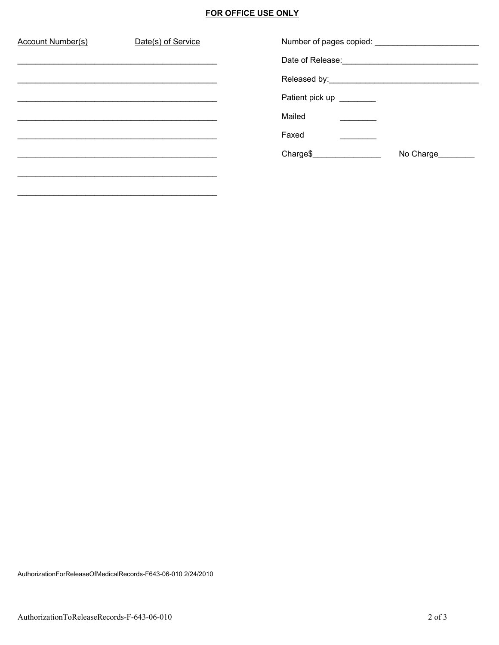# **FOR OFFICE USE ONLY**

| Account Number(s) | Date(s) of Service |                          |           |
|-------------------|--------------------|--------------------------|-----------|
|                   |                    |                          |           |
|                   |                    |                          |           |
|                   |                    | Patient pick up ________ |           |
|                   |                    | Mailed                   |           |
|                   |                    | Faxed                    |           |
|                   |                    | Charge\$                 | No Charge |
|                   |                    |                          |           |
|                   |                    |                          |           |

AuthorizationForReleaseOfMedicalRecords-F643-06-010 2/24/2010